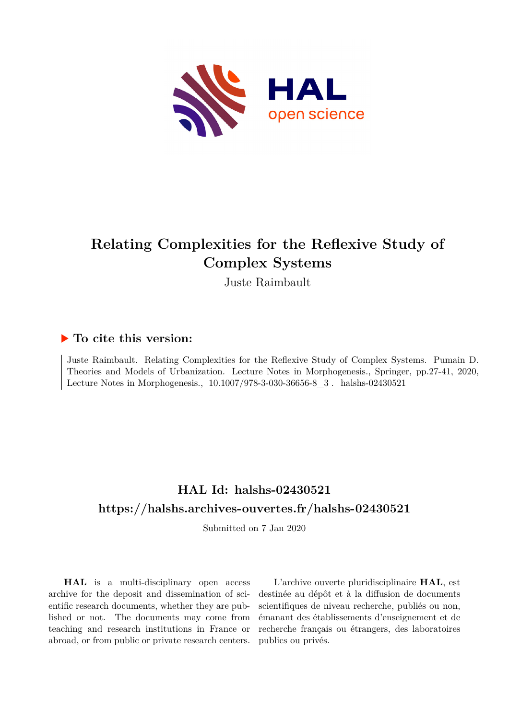

# **Relating Complexities for the Reflexive Study of Complex Systems**

Juste Raimbault

## **To cite this version:**

Juste Raimbault. Relating Complexities for the Reflexive Study of Complex Systems. Pumain D. Theories and Models of Urbanization. Lecture Notes in Morphogenesis., Springer, pp.27-41, 2020, Lecture Notes in Morphogenesis., 10.1007/978-3-030-36656-8\_3. halshs-02430521

## **HAL Id: halshs-02430521 <https://halshs.archives-ouvertes.fr/halshs-02430521>**

Submitted on 7 Jan 2020

**HAL** is a multi-disciplinary open access archive for the deposit and dissemination of scientific research documents, whether they are published or not. The documents may come from teaching and research institutions in France or abroad, or from public or private research centers.

L'archive ouverte pluridisciplinaire **HAL**, est destinée au dépôt et à la diffusion de documents scientifiques de niveau recherche, publiés ou non, émanant des établissements d'enseignement et de recherche français ou étrangers, des laboratoires publics ou privés.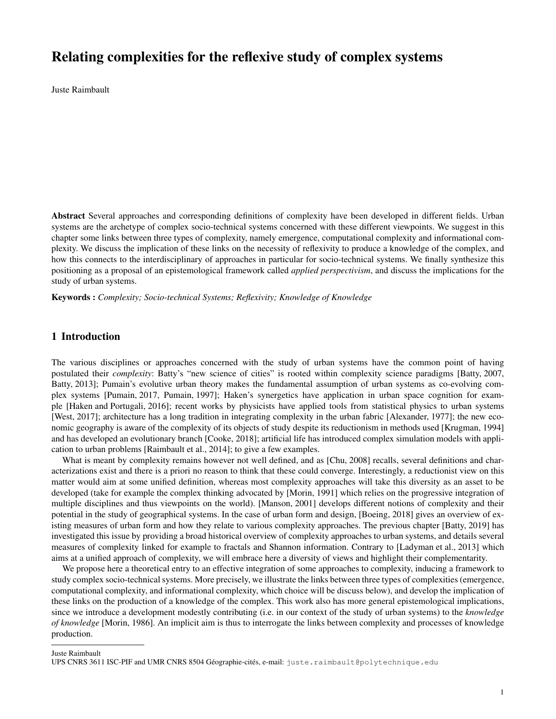## Relating complexities for the reflexive study of complex systems

Juste Raimbault

Abstract Several approaches and corresponding definitions of complexity have been developed in different fields. Urban systems are the archetype of complex socio-technical systems concerned with these different viewpoints. We suggest in this chapter some links between three types of complexity, namely emergence, computational complexity and informational complexity. We discuss the implication of these links on the necessity of reflexivity to produce a knowledge of the complex, and how this connects to the interdisciplinary of approaches in particular for socio-technical systems. We finally synthesize this positioning as a proposal of an epistemological framework called *applied perspectivism*, and discuss the implications for the study of urban systems.

Keywords : *Complexity; Socio-technical Systems; Reflexivity; Knowledge of Knowledge*

#### 1 Introduction

The various disciplines or approaches concerned with the study of urban systems have the common point of having postulated their *complexity*: Batty's "new science of cities" is rooted within complexity science paradigms [Batty, 2007, Batty, 2013]; Pumain's evolutive urban theory makes the fundamental assumption of urban systems as co-evolving complex systems [Pumain, 2017, Pumain, 1997]; Haken's synergetics have application in urban space cognition for example [Haken and Portugali, 2016]; recent works by physicists have applied tools from statistical physics to urban systems [West, 2017]; architecture has a long tradition in integrating complexity in the urban fabric [Alexander, 1977]; the new economic geography is aware of the complexity of its objects of study despite its reductionism in methods used [Krugman, 1994] and has developed an evolutionary branch [Cooke, 2018]; artificial life has introduced complex simulation models with application to urban problems [Raimbault et al., 2014]; to give a few examples.

What is meant by complexity remains however not well defined, and as [Chu, 2008] recalls, several definitions and characterizations exist and there is a priori no reason to think that these could converge. Interestingly, a reductionist view on this matter would aim at some unified definition, whereas most complexity approaches will take this diversity as an asset to be developed (take for example the complex thinking advocated by [Morin, 1991] which relies on the progressive integration of multiple disciplines and thus viewpoints on the world). [Manson, 2001] develops different notions of complexity and their potential in the study of geographical systems. In the case of urban form and design, [Boeing, 2018] gives an overview of existing measures of urban form and how they relate to various complexity approaches. The previous chapter [Batty, 2019] has investigated this issue by providing a broad historical overview of complexity approaches to urban systems, and details several measures of complexity linked for example to fractals and Shannon information. Contrary to [Ladyman et al., 2013] which aims at a unified approach of complexity, we will embrace here a diversity of views and highlight their complementarity.

We propose here a theoretical entry to an effective integration of some approaches to complexity, inducing a framework to study complex socio-technical systems. More precisely, we illustrate the links between three types of complexities (emergence, computational complexity, and informational complexity, which choice will be discuss below), and develop the implication of these links on the production of a knowledge of the complex. This work also has more general epistemological implications, since we introduce a development modestly contributing (i.e. in our context of the study of urban systems) to the *knowledge of knowledge* [Morin, 1986]. An implicit aim is thus to interrogate the links between complexity and processes of knowledge production.

Juste Raimbault

UPS CNRS 3611 ISC-PIF and UMR CNRS 8504 Géographie-cités, e-mail: juste.raimbault@polytechnique.edu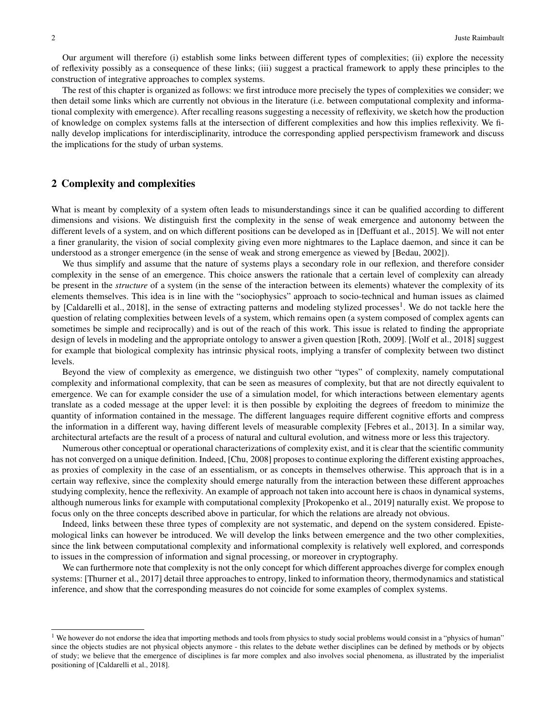Our argument will therefore (i) establish some links between different types of complexities; (ii) explore the necessity of reflexivity possibly as a consequence of these links; (iii) suggest a practical framework to apply these principles to the construction of integrative approaches to complex systems.

The rest of this chapter is organized as follows: we first introduce more precisely the types of complexities we consider; we then detail some links which are currently not obvious in the literature (i.e. between computational complexity and informational complexity with emergence). After recalling reasons suggesting a necessity of reflexivity, we sketch how the production of knowledge on complex systems falls at the intersection of different complexities and how this implies reflexivity. We finally develop implications for interdisciplinarity, introduce the corresponding applied perspectivism framework and discuss the implications for the study of urban systems.

#### 2 Complexity and complexities

What is meant by complexity of a system often leads to misunderstandings since it can be qualified according to different dimensions and visions. We distinguish first the complexity in the sense of weak emergence and autonomy between the different levels of a system, and on which different positions can be developed as in [Deffuant et al., 2015]. We will not enter a finer granularity, the vision of social complexity giving even more nightmares to the Laplace daemon, and since it can be understood as a stronger emergence (in the sense of weak and strong emergence as viewed by [Bedau, 2002]).

We thus simplify and assume that the nature of systems plays a secondary role in our reflexion, and therefore consider complexity in the sense of an emergence. This choice answers the rationale that a certain level of complexity can already be present in the *structure* of a system (in the sense of the interaction between its elements) whatever the complexity of its elements themselves. This idea is in line with the "sociophysics" approach to socio-technical and human issues as claimed by [Caldarelli et al., 2018], in the sense of extracting patterns and modeling stylized processes<sup>1</sup>. We do not tackle here the question of relating complexities between levels of a system, which remains open (a system composed of complex agents can sometimes be simple and reciprocally) and is out of the reach of this work. This issue is related to finding the appropriate design of levels in modeling and the appropriate ontology to answer a given question [Roth, 2009]. [Wolf et al., 2018] suggest for example that biological complexity has intrinsic physical roots, implying a transfer of complexity between two distinct levels.

Beyond the view of complexity as emergence, we distinguish two other "types" of complexity, namely computational complexity and informational complexity, that can be seen as measures of complexity, but that are not directly equivalent to emergence. We can for example consider the use of a simulation model, for which interactions between elementary agents translate as a coded message at the upper level: it is then possible by exploiting the degrees of freedom to minimize the quantity of information contained in the message. The different languages require different cognitive efforts and compress the information in a different way, having different levels of measurable complexity [Febres et al., 2013]. In a similar way, architectural artefacts are the result of a process of natural and cultural evolution, and witness more or less this trajectory.

Numerous other conceptual or operational characterizations of complexity exist, and it is clear that the scientific community has not converged on a unique definition. Indeed, [Chu, 2008] proposes to continue exploring the different existing approaches, as proxies of complexity in the case of an essentialism, or as concepts in themselves otherwise. This approach that is in a certain way reflexive, since the complexity should emerge naturally from the interaction between these different approaches studying complexity, hence the reflexivity. An example of approach not taken into account here is chaos in dynamical systems, although numerous links for example with computational complexity [Prokopenko et al., 2019] naturally exist. We propose to focus only on the three concepts described above in particular, for which the relations are already not obvious.

Indeed, links between these three types of complexity are not systematic, and depend on the system considered. Epistemological links can however be introduced. We will develop the links between emergence and the two other complexities, since the link between computational complexity and informational complexity is relatively well explored, and corresponds to issues in the compression of information and signal processing, or moreover in cryptography.

We can furthermore note that complexity is not the only concept for which different approaches diverge for complex enough systems: [Thurner et al., 2017] detail three approaches to entropy, linked to information theory, thermodynamics and statistical inference, and show that the corresponding measures do not coincide for some examples of complex systems.

<sup>&</sup>lt;sup>1</sup> We however do not endorse the idea that importing methods and tools from physics to study social problems would consist in a "physics of human" since the objects studies are not physical objects anymore - this relates to the debate wether disciplines can be defined by methods or by objects of study; we believe that the emergence of disciplines is far more complex and also involves social phenomena, as illustrated by the imperialist positioning of [Caldarelli et al., 2018].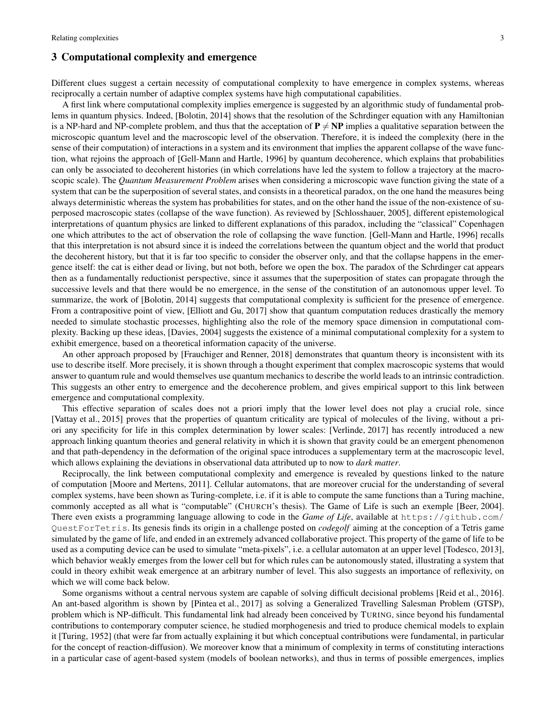#### 3 Computational complexity and emergence

Different clues suggest a certain necessity of computational complexity to have emergence in complex systems, whereas reciprocally a certain number of adaptive complex systems have high computational capabilities.

A first link where computational complexity implies emergence is suggested by an algorithmic study of fundamental problems in quantum physics. Indeed, [Bolotin, 2014] shows that the resolution of the Schrdinger equation with any Hamiltonian is a NP-hard and NP-complete problem, and thus that the acceptation of  $P \neq NP$  implies a qualitative separation between the microscopic quantum level and the macroscopic level of the observation. Therefore, it is indeed the complexity (here in the sense of their computation) of interactions in a system and its environment that implies the apparent collapse of the wave function, what rejoins the approach of [Gell-Mann and Hartle, 1996] by quantum decoherence, which explains that probabilities can only be associated to decoherent histories (in which correlations have led the system to follow a trajectory at the macroscopic scale). The *Quantum Measurement Problem* arises when considering a microscopic wave function giving the state of a system that can be the superposition of several states, and consists in a theoretical paradox, on the one hand the measures being always deterministic whereas the system has probabilities for states, and on the other hand the issue of the non-existence of superposed macroscopic states (collapse of the wave function). As reviewed by [Schlosshauer, 2005], different epistemological interpretations of quantum physics are linked to different explanations of this paradox, including the "classical" Copenhagen one which attributes to the act of observation the role of collapsing the wave function. [Gell-Mann and Hartle, 1996] recalls that this interpretation is not absurd since it is indeed the correlations between the quantum object and the world that product the decoherent history, but that it is far too specific to consider the observer only, and that the collapse happens in the emergence itself: the cat is either dead or living, but not both, before we open the box. The paradox of the Schrdinger cat appears then as a fundamentally reductionist perspective, since it assumes that the superposition of states can propagate through the successive levels and that there would be no emergence, in the sense of the constitution of an autonomous upper level. To summarize, the work of [Bolotin, 2014] suggests that computational complexity is sufficient for the presence of emergence. From a contrapositive point of view, [Elliott and Gu, 2017] show that quantum computation reduces drastically the memory needed to simulate stochastic processes, highlighting also the role of the memory space dimension in computational complexity. Backing up these ideas, [Davies, 2004] suggests the existence of a minimal computational complexity for a system to exhibit emergence, based on a theoretical information capacity of the universe.

An other approach proposed by [Frauchiger and Renner, 2018] demonstrates that quantum theory is inconsistent with its use to describe itself. More precisely, it is shown through a thought experiment that complex macroscopic systems that would answer to quantum rule and would themselves use quantum mechanics to describe the world leads to an intrinsic contradiction. This suggests an other entry to emergence and the decoherence problem, and gives empirical support to this link between emergence and computational complexity.

This effective separation of scales does not a priori imply that the lower level does not play a crucial role, since [Vattay et al., 2015] proves that the properties of quantum criticality are typical of molecules of the living, without a priori any specificity for life in this complex determination by lower scales: [Verlinde, 2017] has recently introduced a new approach linking quantum theories and general relativity in which it is shown that gravity could be an emergent phenomenon and that path-dependency in the deformation of the original space introduces a supplementary term at the macroscopic level, which allows explaining the deviations in observational data attributed up to now to *dark matter*.

Reciprocally, the link between computational complexity and emergence is revealed by questions linked to the nature of computation [Moore and Mertens, 2011]. Cellular automatons, that are moreover crucial for the understanding of several complex systems, have been shown as Turing-complete, i.e. if it is able to compute the same functions than a Turing machine, commonly accepted as all what is "computable" (CHURCH's thesis). The Game of Life is such an exemple [Beer, 2004]. There even exists a programming language allowing to code in the *Game of Life*, available at https://github.com/ QuestForTetris. Its genesis finds its origin in a challenge posted on *codegolf* aiming at the conception of a Tetris game simulated by the game of life, and ended in an extremely advanced collaborative project. This property of the game of life to be used as a computing device can be used to simulate "meta-pixels", i.e. a cellular automaton at an upper level [Todesco, 2013], which behavior weakly emerges from the lower cell but for which rules can be autonomously stated, illustrating a system that could in theory exhibit weak emergence at an arbitrary number of level. This also suggests an importance of reflexivity, on which we will come back below.

Some organisms without a central nervous system are capable of solving difficult decisional problems [Reid et al., 2016]. An ant-based algorithm is shown by [Pintea et al., 2017] as solving a Generalized Travelling Salesman Problem (GTSP), problem which is NP-difficult. This fundamental link had already been conceived by TURING, since beyond his fundamental contributions to contemporary computer science, he studied morphogenesis and tried to produce chemical models to explain it [Turing, 1952] (that were far from actually explaining it but which conceptual contributions were fundamental, in particular for the concept of reaction-diffusion). We moreover know that a minimum of complexity in terms of constituting interactions in a particular case of agent-based system (models of boolean networks), and thus in terms of possible emergences, implies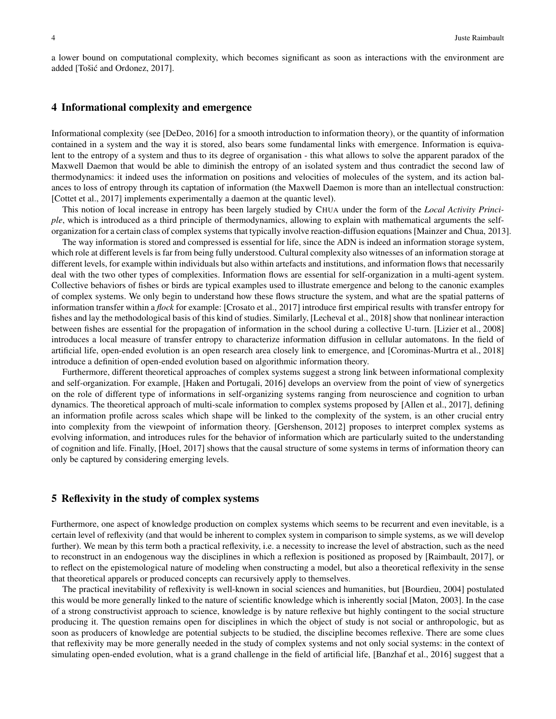a lower bound on computational complexity, which becomes significant as soon as interactions with the environment are added [Tošić and Ordonez, 2017].

#### 4 Informational complexity and emergence

Informational complexity (see [DeDeo, 2016] for a smooth introduction to information theory), or the quantity of information contained in a system and the way it is stored, also bears some fundamental links with emergence. Information is equivalent to the entropy of a system and thus to its degree of organisation - this what allows to solve the apparent paradox of the Maxwell Daemon that would be able to diminish the entropy of an isolated system and thus contradict the second law of thermodynamics: it indeed uses the information on positions and velocities of molecules of the system, and its action balances to loss of entropy through its captation of information (the Maxwell Daemon is more than an intellectual construction: [Cottet et al., 2017] implements experimentally a daemon at the quantic level).

This notion of local increase in entropy has been largely studied by CHUA under the form of the *Local Activity Principle*, which is introduced as a third principle of thermodynamics, allowing to explain with mathematical arguments the selforganization for a certain class of complex systems that typically involve reaction-diffusion equations [Mainzer and Chua, 2013].

The way information is stored and compressed is essential for life, since the ADN is indeed an information storage system, which role at different levels is far from being fully understood. Cultural complexity also witnesses of an information storage at different levels, for example within individuals but also within artefacts and institutions, and information flows that necessarily deal with the two other types of complexities. Information flows are essential for self-organization in a multi-agent system. Collective behaviors of fishes or birds are typical examples used to illustrate emergence and belong to the canonic examples of complex systems. We only begin to understand how these flows structure the system, and what are the spatial patterns of information transfer within a *flock* for example: [Crosato et al., 2017] introduce first empirical results with transfer entropy for fishes and lay the methodological basis of this kind of studies. Similarly, [Lecheval et al., 2018] show that nonlinear interaction between fishes are essential for the propagation of information in the school during a collective U-turn. [Lizier et al., 2008] introduces a local measure of transfer entropy to characterize information diffusion in cellular automatons. In the field of artificial life, open-ended evolution is an open research area closely link to emergence, and [Corominas-Murtra et al., 2018] introduce a definition of open-ended evolution based on algorithmic information theory.

Furthermore, different theoretical approaches of complex systems suggest a strong link between informational complexity and self-organization. For example, [Haken and Portugali, 2016] develops an overview from the point of view of synergetics on the role of different type of informations in self-organizing systems ranging from neuroscience and cognition to urban dynamics. The theoretical approach of multi-scale information to complex systems proposed by [Allen et al., 2017], defining an information profile across scales which shape will be linked to the complexity of the system, is an other crucial entry into complexity from the viewpoint of information theory. [Gershenson, 2012] proposes to interpret complex systems as evolving information, and introduces rules for the behavior of information which are particularly suited to the understanding of cognition and life. Finally, [Hoel, 2017] shows that the causal structure of some systems in terms of information theory can only be captured by considering emerging levels.

#### 5 Reflexivity in the study of complex systems

Furthermore, one aspect of knowledge production on complex systems which seems to be recurrent and even inevitable, is a certain level of reflexivity (and that would be inherent to complex system in comparison to simple systems, as we will develop further). We mean by this term both a practical reflexivity, i.e. a necessity to increase the level of abstraction, such as the need to reconstruct in an endogenous way the disciplines in which a reflexion is positioned as proposed by [Raimbault, 2017], or to reflect on the epistemological nature of modeling when constructing a model, but also a theoretical reflexivity in the sense that theoretical apparels or produced concepts can recursively apply to themselves.

The practical inevitability of reflexivity is well-known in social sciences and humanities, but [Bourdieu, 2004] postulated this would be more generally linked to the nature of scientific knowledge which is inherently social [Maton, 2003]. In the case of a strong constructivist approach to science, knowledge is by nature reflexive but highly contingent to the social structure producing it. The question remains open for disciplines in which the object of study is not social or anthropologic, but as soon as producers of knowledge are potential subjects to be studied, the discipline becomes reflexive. There are some clues that reflexivity may be more generally needed in the study of complex systems and not only social systems: in the context of simulating open-ended evolution, what is a grand challenge in the field of artificial life, [Banzhaf et al., 2016] suggest that a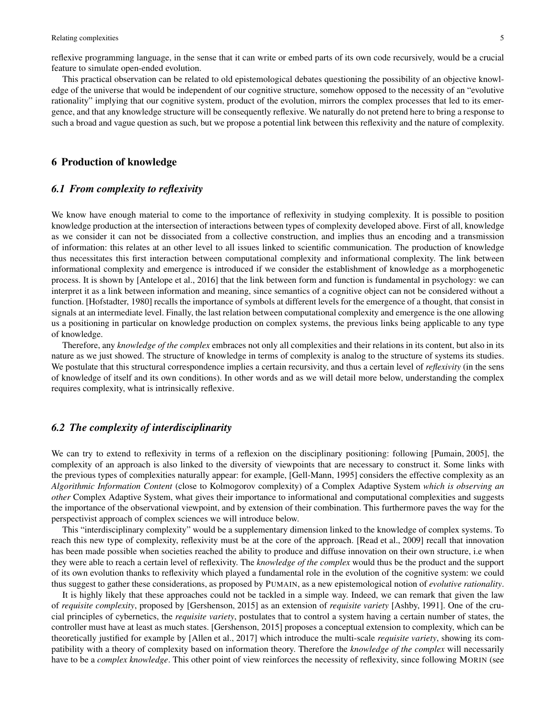reflexive programming language, in the sense that it can write or embed parts of its own code recursively, would be a crucial feature to simulate open-ended evolution.

This practical observation can be related to old epistemological debates questioning the possibility of an objective knowledge of the universe that would be independent of our cognitive structure, somehow opposed to the necessity of an "evolutive rationality" implying that our cognitive system, product of the evolution, mirrors the complex processes that led to its emergence, and that any knowledge structure will be consequently reflexive. We naturally do not pretend here to bring a response to such a broad and vague question as such, but we propose a potential link between this reflexivity and the nature of complexity.

#### 6 Production of knowledge

#### *6.1 From complexity to reflexivity*

We know have enough material to come to the importance of reflexivity in studying complexity. It is possible to position knowledge production at the intersection of interactions between types of complexity developed above. First of all, knowledge as we consider it can not be dissociated from a collective construction, and implies thus an encoding and a transmission of information: this relates at an other level to all issues linked to scientific communication. The production of knowledge thus necessitates this first interaction between computational complexity and informational complexity. The link between informational complexity and emergence is introduced if we consider the establishment of knowledge as a morphogenetic process. It is shown by [Antelope et al., 2016] that the link between form and function is fundamental in psychology: we can interpret it as a link between information and meaning, since semantics of a cognitive object can not be considered without a function. [Hofstadter, 1980] recalls the importance of symbols at different levels for the emergence of a thought, that consist in signals at an intermediate level. Finally, the last relation between computational complexity and emergence is the one allowing us a positioning in particular on knowledge production on complex systems, the previous links being applicable to any type of knowledge.

Therefore, any *knowledge of the complex* embraces not only all complexities and their relations in its content, but also in its nature as we just showed. The structure of knowledge in terms of complexity is analog to the structure of systems its studies. We postulate that this structural correspondence implies a certain recursivity, and thus a certain level of *reflexivity* (in the sens of knowledge of itself and its own conditions). In other words and as we will detail more below, understanding the complex requires complexity, what is intrinsically reflexive.

#### *6.2 The complexity of interdisciplinarity*

We can try to extend to reflexivity in terms of a reflexion on the disciplinary positioning: following [Pumain, 2005], the complexity of an approach is also linked to the diversity of viewpoints that are necessary to construct it. Some links with the previous types of complexities naturally appear: for example, [Gell-Mann, 1995] considers the effective complexity as an *Algorithmic Information Content* (close to Kolmogorov complexity) of a Complex Adaptive System *which is observing an other* Complex Adaptive System, what gives their importance to informational and computational complexities and suggests the importance of the observational viewpoint, and by extension of their combination. This furthermore paves the way for the perspectivist approach of complex sciences we will introduce below.

This "interdisciplinary complexity" would be a supplementary dimension linked to the knowledge of complex systems. To reach this new type of complexity, reflexivity must be at the core of the approach. [Read et al., 2009] recall that innovation has been made possible when societies reached the ability to produce and diffuse innovation on their own structure, i.e when they were able to reach a certain level of reflexivity. The *knowledge of the complex* would thus be the product and the support of its own evolution thanks to reflexivity which played a fundamental role in the evolution of the cognitive system: we could thus suggest to gather these considerations, as proposed by PUMAIN, as a new epistemological notion of *evolutive rationality*.

It is highly likely that these approaches could not be tackled in a simple way. Indeed, we can remark that given the law of *requisite complexity*, proposed by [Gershenson, 2015] as an extension of *requisite variety* [Ashby, 1991]. One of the crucial principles of cybernetics, the *requisite variety*, postulates that to control a system having a certain number of states, the controller must have at least as much states. [Gershenson, 2015] proposes a conceptual extension to complexity, which can be theoretically justified for example by [Allen et al., 2017] which introduce the multi-scale *requisite variety*, showing its compatibility with a theory of complexity based on information theory. Therefore the *knowledge of the complex* will necessarily have to be a *complex knowledge*. This other point of view reinforces the necessity of reflexivity, since following MORIN (see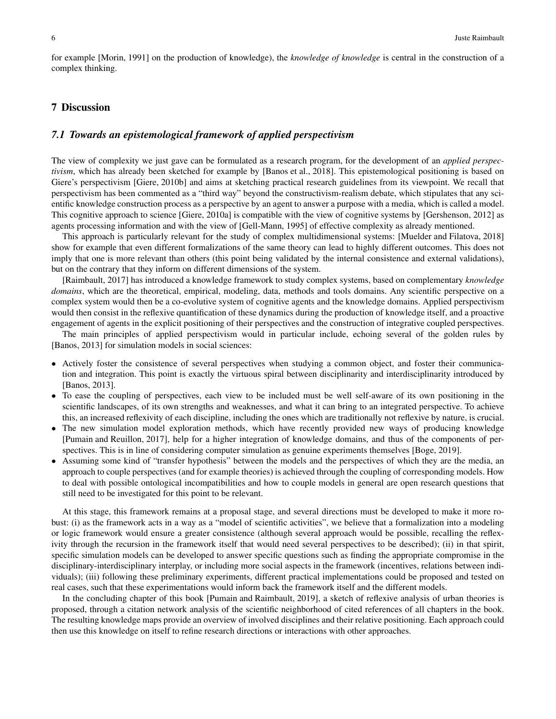for example [Morin, 1991] on the production of knowledge), the *knowledge of knowledge* is central in the construction of a complex thinking.

#### 7 Discussion

#### *7.1 Towards an epistemological framework of applied perspectivism*

The view of complexity we just gave can be formulated as a research program, for the development of an *applied perspectivism*, which has already been sketched for example by [Banos et al., 2018]. This epistemological positioning is based on Giere's perspectivism [Giere, 2010b] and aims at sketching practical research guidelines from its viewpoint. We recall that perspectivism has been commented as a "third way" beyond the constructivism-realism debate, which stipulates that any scientific knowledge construction process as a perspective by an agent to answer a purpose with a media, which is called a model. This cognitive approach to science [Giere, 2010a] is compatible with the view of cognitive systems by [Gershenson, 2012] as agents processing information and with the view of [Gell-Mann, 1995] of effective complexity as already mentioned.

This approach is particularly relevant for the study of complex multidimensional systems: [Muelder and Filatova, 2018] show for example that even different formalizations of the same theory can lead to highly different outcomes. This does not imply that one is more relevant than others (this point being validated by the internal consistence and external validations), but on the contrary that they inform on different dimensions of the system.

[Raimbault, 2017] has introduced a knowledge framework to study complex systems, based on complementary *knowledge domains*, which are the theoretical, empirical, modeling, data, methods and tools domains. Any scientific perspective on a complex system would then be a co-evolutive system of cognitive agents and the knowledge domains. Applied perspectivism would then consist in the reflexive quantification of these dynamics during the production of knowledge itself, and a proactive engagement of agents in the explicit positioning of their perspectives and the construction of integrative coupled perspectives.

The main principles of applied perspectivism would in particular include, echoing several of the golden rules by [Banos, 2013] for simulation models in social sciences:

- Actively foster the consistence of several perspectives when studying a common object, and foster their communication and integration. This point is exactly the virtuous spiral between disciplinarity and interdisciplinarity introduced by [Banos, 2013].
- To ease the coupling of perspectives, each view to be included must be well self-aware of its own positioning in the scientific landscapes, of its own strengths and weaknesses, and what it can bring to an integrated perspective. To achieve this, an increased reflexivity of each discipline, including the ones which are traditionally not reflexive by nature, is crucial.
- The new simulation model exploration methods, which have recently provided new ways of producing knowledge [Pumain and Reuillon, 2017], help for a higher integration of knowledge domains, and thus of the components of perspectives. This is in line of considering computer simulation as genuine experiments themselves [Boge, 2019].
- Assuming some kind of "transfer hypothesis" between the models and the perspectives of which they are the media, an approach to couple perspectives (and for example theories) is achieved through the coupling of corresponding models. How to deal with possible ontological incompatibilities and how to couple models in general are open research questions that still need to be investigated for this point to be relevant.

At this stage, this framework remains at a proposal stage, and several directions must be developed to make it more robust: (i) as the framework acts in a way as a "model of scientific activities", we believe that a formalization into a modeling or logic framework would ensure a greater consistence (although several approach would be possible, recalling the reflexivity through the recursion in the framework itself that would need several perspectives to be described); (ii) in that spirit, specific simulation models can be developed to answer specific questions such as finding the appropriate compromise in the disciplinary-interdisciplinary interplay, or including more social aspects in the framework (incentives, relations between individuals); (iii) following these preliminary experiments, different practical implementations could be proposed and tested on real cases, such that these experimentations would inform back the framework itself and the different models.

In the concluding chapter of this book [Pumain and Raimbault, 2019], a sketch of reflexive analysis of urban theories is proposed, through a citation network analysis of the scientific neighborhood of cited references of all chapters in the book. The resulting knowledge maps provide an overview of involved disciplines and their relative positioning. Each approach could then use this knowledge on itself to refine research directions or interactions with other approaches.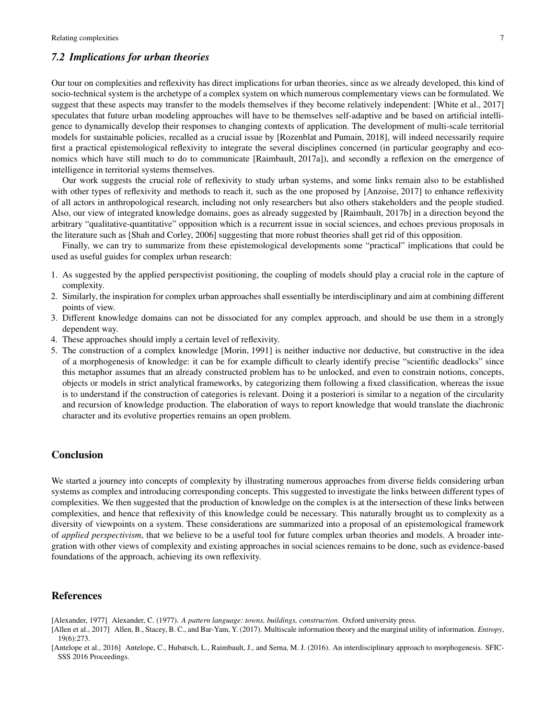#### *7.2 Implications for urban theories*

Our tour on complexities and reflexivity has direct implications for urban theories, since as we already developed, this kind of socio-technical system is the archetype of a complex system on which numerous complementary views can be formulated. We suggest that these aspects may transfer to the models themselves if they become relatively independent: [White et al., 2017] speculates that future urban modeling approaches will have to be themselves self-adaptive and be based on artificial intelligence to dynamically develop their responses to changing contexts of application. The development of multi-scale territorial models for sustainable policies, recalled as a crucial issue by [Rozenblat and Pumain, 2018], will indeed necessarily require first a practical epistemological reflexivity to integrate the several disciplines concerned (in particular geography and economics which have still much to do to communicate [Raimbault, 2017a]), and secondly a reflexion on the emergence of intelligence in territorial systems themselves.

Our work suggests the crucial role of reflexivity to study urban systems, and some links remain also to be established with other types of reflexivity and methods to reach it, such as the one proposed by [Anzoise, 2017] to enhance reflexivity of all actors in anthropological research, including not only researchers but also others stakeholders and the people studied. Also, our view of integrated knowledge domains, goes as already suggested by [Raimbault, 2017b] in a direction beyond the arbitrary "qualitative-quantitative" opposition which is a recurrent issue in social sciences, and echoes previous proposals in the literature such as [Shah and Corley, 2006] suggesting that more robust theories shall get rid of this opposition.

Finally, we can try to summarize from these epistemological developments some "practical" implications that could be used as useful guides for complex urban research:

- 1. As suggested by the applied perspectivist positioning, the coupling of models should play a crucial role in the capture of complexity.
- 2. Similarly, the inspiration for complex urban approaches shall essentially be interdisciplinary and aim at combining different points of view.
- 3. Different knowledge domains can not be dissociated for any complex approach, and should be use them in a strongly dependent way.
- 4. These approaches should imply a certain level of reflexivity.
- 5. The construction of a complex knowledge [Morin, 1991] is neither inductive nor deductive, but constructive in the idea of a morphogenesis of knowledge: it can be for example difficult to clearly identify precise "scientific deadlocks" since this metaphor assumes that an already constructed problem has to be unlocked, and even to constrain notions, concepts, objects or models in strict analytical frameworks, by categorizing them following a fixed classification, whereas the issue is to understand if the construction of categories is relevant. Doing it a posteriori is similar to a negation of the circularity and recursion of knowledge production. The elaboration of ways to report knowledge that would translate the diachronic character and its evolutive properties remains an open problem.

#### Conclusion

We started a journey into concepts of complexity by illustrating numerous approaches from diverse fields considering urban systems as complex and introducing corresponding concepts. This suggested to investigate the links between different types of complexities. We then suggested that the production of knowledge on the complex is at the intersection of these links between complexities, and hence that reflexivity of this knowledge could be necessary. This naturally brought us to complexity as a diversity of viewpoints on a system. These considerations are summarized into a proposal of an epistemological framework of *applied perspectivism*, that we believe to be a useful tool for future complex urban theories and models. A broader integration with other views of complexity and existing approaches in social sciences remains to be done, such as evidence-based foundations of the approach, achieving its own reflexivity.

#### References

- [Alexander, 1977] Alexander, C. (1977). *A pattern language: towns, buildings, construction*. Oxford university press.
- [Allen et al., 2017] Allen, B., Stacey, B. C., and Bar-Yam, Y. (2017). Multiscale information theory and the marginal utility of information. *Entropy*, 19(6):273.
- [Antelope et al., 2016] Antelope, C., Hubatsch, L., Raimbault, J., and Serna, M. J. (2016). An interdisciplinary approach to morphogenesis. SFIC-SSS 2016 Proceedings.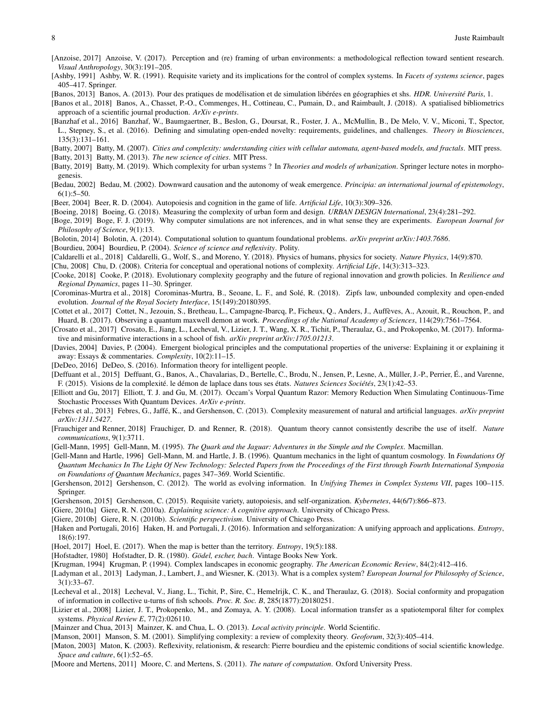- [Anzoise, 2017] Anzoise, V. (2017). Perception and (re) framing of urban environments: a methodological reflection toward sentient research. *Visual Anthropology*, 30(3):191–205.
- [Ashby, 1991] Ashby, W. R. (1991). Requisite variety and its implications for the control of complex systems. In *Facets of systems science*, pages 405–417. Springer.
- [Banos, 2013] Banos, A. (2013). Pour des pratiques de modélisation et de simulation libérées en géographies et shs. *HDR. Université Paris*, 1.

[Banos et al., 2018] Banos, A., Chasset, P.-O., Commenges, H., Cottineau, C., Pumain, D., and Raimbault, J. (2018). A spatialised bibliometrics approach of a scientific journal production. *ArXiv e-prints*.

- [Banzhaf et al., 2016] Banzhaf, W., Baumgaertner, B., Beslon, G., Doursat, R., Foster, J. A., McMullin, B., De Melo, V. V., Miconi, T., Spector, L., Stepney, S., et al. (2016). Defining and simulating open-ended novelty: requirements, guidelines, and challenges. *Theory in Biosciences*, 135(3):131–161.
- [Batty, 2007] Batty, M. (2007). *Cities and complexity: understanding cities with cellular automata, agent-based models, and fractals*. MIT press.
- [Batty, 2013] Batty, M. (2013). *The new science of cities*. MIT Press.
- [Batty, 2019] Batty, M. (2019). Which complexity for urban systems ? In *Theories and models of urbanization*. Springer lecture notes in morphogenesis.
- [Bedau, 2002] Bedau, M. (2002). Downward causation and the autonomy of weak emergence. *Principia: an international journal of epistemology*,  $6(1):5-50.$
- [Beer, 2004] Beer, R. D. (2004). Autopoiesis and cognition in the game of life. *Artificial Life*, 10(3):309–326.
- [Boeing, 2018] Boeing, G. (2018). Measuring the complexity of urban form and design. *URBAN DESIGN International*, 23(4):281–292.
- [Boge, 2019] Boge, F. J. (2019). Why computer simulations are not inferences, and in what sense they are experiments. *European Journal for Philosophy of Science*, 9(1):13.
- [Bolotin, 2014] Bolotin, A. (2014). Computational solution to quantum foundational problems. *arXiv preprint arXiv:1403.7686*.
- [Bourdieu, 2004] Bourdieu, P. (2004). *Science of science and reflexivity*. Polity.
- [Caldarelli et al., 2018] Caldarelli, G., Wolf, S., and Moreno, Y. (2018). Physics of humans, physics for society. *Nature Physics*, 14(9):870.
- [Chu, 2008] Chu, D. (2008). Criteria for conceptual and operational notions of complexity. *Artificial Life*, 14(3):313–323.

[Cooke, 2018] Cooke, P. (2018). Evolutionary complexity geography and the future of regional innovation and growth policies. In *Resilience and Regional Dynamics*, pages 11–30. Springer.

- [Corominas-Murtra et al., 2018] Corominas-Murtra, B., Seoane, L. F., and Sole, R. (2018). Zipfs law, unbounded complexity and open-ended ´ evolution. *Journal of the Royal Society Interface*, 15(149):20180395.
- [Cottet et al., 2017] Cottet, N., Jezouin, S., Bretheau, L., Campagne-Ibarcq, P., Ficheux, Q., Anders, J., Auffèves, A., Azouit, R., Rouchon, P., and Huard, B. (2017). Observing a quantum maxwell demon at work. *Proceedings of the National Academy of Sciences*, 114(29):7561–7564.
- [Crosato et al., 2017] Crosato, E., Jiang, L., Lecheval, V., Lizier, J. T., Wang, X. R., Tichit, P., Theraulaz, G., and Prokopenko, M. (2017). Informative and misinformative interactions in a school of fish. *arXiv preprint arXiv:1705.01213*.
- [Davies, 2004] Davies, P. (2004). Emergent biological principles and the computational properties of the universe: Explaining it or explaining it away: Essays & commentaries. *Complexity*, 10(2):11–15.
- [DeDeo, 2016] DeDeo, S. (2016). Information theory for intelligent people.
- [Deffuant et al., 2015] Deffuant, G., Banos, A., Chavalarias, D., Bertelle, C., Brodu, N., Jensen, P., Lesne, A., Müller, J.-P., Perrier, É., and Varenne, F. (2015). Visions de la complexité. le démon de laplace dans tous ses états. *Natures Sciences Sociétés*, 23(1):42–53.
- [Elliott and Gu, 2017] Elliott, T. J. and Gu, M. (2017). Occam's Vorpal Quantum Razor: Memory Reduction When Simulating Continuous-Time Stochastic Processes With Quantum Devices. *ArXiv e-prints*.
- [Febres et al., 2013] Febres, G., Jaffe, K., and Gershenson, C. (2013). Complexity measurement of natural and artificial languages. ´ *arXiv preprint arXiv:1311.5427*.
- [Frauchiger and Renner, 2018] Frauchiger, D. and Renner, R. (2018). Quantum theory cannot consistently describe the use of itself. *Nature communications*, 9(1):3711.
- [Gell-Mann, 1995] Gell-Mann, M. (1995). *The Quark and the Jaguar: Adventures in the Simple and the Complex*. Macmillan.
- [Gell-Mann and Hartle, 1996] Gell-Mann, M. and Hartle, J. B. (1996). Quantum mechanics in the light of quantum cosmology. In *Foundations Of Quantum Mechanics In The Light Of New Technology: Selected Papers from the Proceedings of the First through Fourth International Symposia on Foundations of Quantum Mechanics*, pages 347–369. World Scientific.
- [Gershenson, 2012] Gershenson, C. (2012). The world as evolving information. In *Unifying Themes in Complex Systems VII*, pages 100–115. Springer.
- [Gershenson, 2015] Gershenson, C. (2015). Requisite variety, autopoiesis, and self-organization. *Kybernetes*, 44(6/7):866–873.
- [Giere, 2010a] Giere, R. N. (2010a). *Explaining science: A cognitive approach*. University of Chicago Press.
- [Giere, 2010b] Giere, R. N. (2010b). *Scientific perspectivism*. University of Chicago Press.
- [Haken and Portugali, 2016] Haken, H. and Portugali, J. (2016). Information and selforganization: A unifying approach and applications. *Entropy*, 18(6):197.
- [Hoel, 2017] Hoel, E. (2017). When the map is better than the territory. *Entropy*, 19(5):188.
- [Hofstadter, 1980] Hofstadter, D. R. (1980). *Gödel, escher, bach*. Vintage Books New York.
- [Krugman, 1994] Krugman, P. (1994). Complex landscapes in economic geography. *The American Economic Review*, 84(2):412–416.
- [Ladyman et al., 2013] Ladyman, J., Lambert, J., and Wiesner, K. (2013). What is a complex system? *European Journal for Philosophy of Science*, 3(1):33–67.
- [Lecheval et al., 2018] Lecheval, V., Jiang, L., Tichit, P., Sire, C., Hemelrijk, C. K., and Theraulaz, G. (2018). Social conformity and propagation of information in collective u-turns of fish schools. *Proc. R. Soc. B*, 285(1877):20180251.
- [Lizier et al., 2008] Lizier, J. T., Prokopenko, M., and Zomaya, A. Y. (2008). Local information transfer as a spatiotemporal filter for complex systems. *Physical Review E*, 77(2):026110.
- [Mainzer and Chua, 2013] Mainzer, K. and Chua, L. O. (2013). *Local activity principle*. World Scientific.
- [Manson, 2001] Manson, S. M. (2001). Simplifying complexity: a review of complexity theory. *Geoforum*, 32(3):405–414.
- [Maton, 2003] Maton, K. (2003). Reflexivity, relationism, & research: Pierre bourdieu and the epistemic conditions of social scientific knowledge. *Space and culture*, 6(1):52–65.
- [Moore and Mertens, 2011] Moore, C. and Mertens, S. (2011). *The nature of computation*. Oxford University Press.